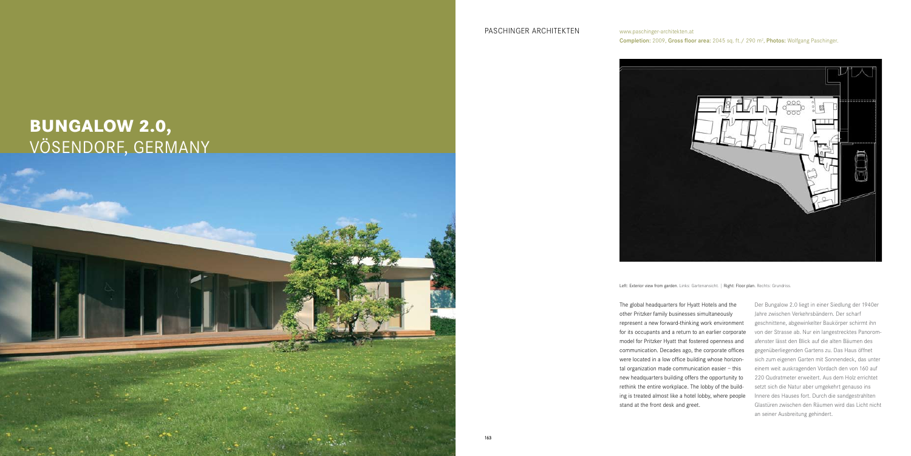163

The global headquarters for Hyatt Hotels and the other Pritzker family businesses simultaneously represent a new forward-thinking work environment for its occupants and a return to an earlier corporate model for Pritzker Hyatt that fostered openness and communication. Decades ago, the corporate offices were located in a low office building whose horizontal organization made communication easier – this new headquarters building offers the opportunity to rethink the entire workplace. The lobby of the building is treated almost like a hotel lobby, where people stand at the front desk and greet.

## www.paschinger-architekten.at

**Completion:** 2009, Gross floor area: 2045 sq. ft./ 290  $m^2$ , Photos: Wolfgang Paschinger.



Left: Exterior view from garden. Links: Gartenansicht. | Right: Floor plan. Rechts: Grundriss.

PASCHINGER ARCHITEKTEN

## **Bungalow 2.0,**  VÖSENDORF, GERMANY



Der Bungalow 2.0 liegt in einer Siedlung der 1940er Jahre zwischen Verkehrsbändern. Der scharf geschnittene, abgewinkelter Baukörper schirmt ihn von der Strasse ab. Nur ein langestrecktes Panoromafenster lässt den Blick auf die alten Bäumen des gegenüberliegenden Gartens zu. Das Haus öffnet sich zum eigenen Garten mit Sonnendeck, das unter einem weit auskragenden Vordach den von 160 auf 220 Qudratmeter erweitert. Aus dem Holz errichtet setzt sich die Natur aber umgekehrt genauso ins Innere des Hauses fort. Durch die sandgestrahlten Glastüren zwischen den Räumen wird das Licht nicht an seiner Ausbreitung gehindert.